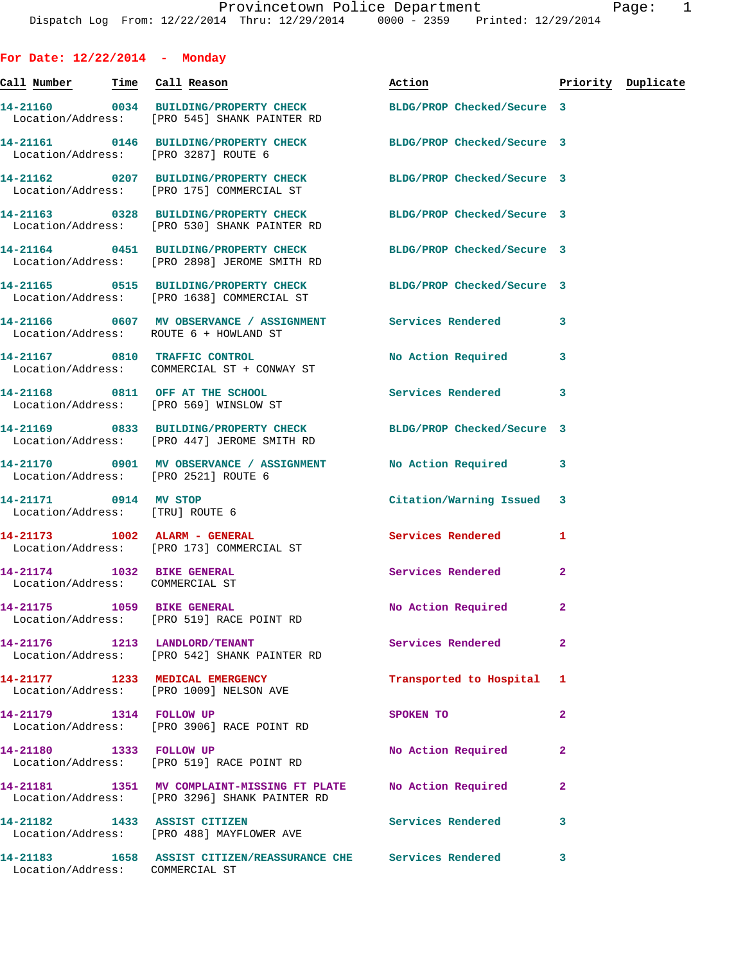| For Date: $12/22/2014$ - Monday                               |                                                                                                                  |                           |                    |
|---------------------------------------------------------------|------------------------------------------------------------------------------------------------------------------|---------------------------|--------------------|
| <u>Call Number — Time Call Reason</u>                         |                                                                                                                  | Action                    | Priority Duplicate |
|                                                               | 14-21160 0034 BUILDING/PROPERTY CHECK BLDG/PROP Checked/Secure 3<br>Location/Address: [PRO 545] SHANK PAINTER RD |                           |                    |
| Location/Address: [PRO 3287] ROUTE 6                          | 14-21161 0146 BUILDING/PROPERTY CHECK BLDG/PROP Checked/Secure 3                                                 |                           |                    |
|                                                               | 14-21162 0207 BUILDING/PROPERTY CHECK BLDG/PROP Checked/Secure 3<br>Location/Address: [PRO 175] COMMERCIAL ST    |                           |                    |
|                                                               | 14-21163 0328 BUILDING/PROPERTY CHECK BLDG/PROP Checked/Secure 3<br>Location/Address: [PRO 530] SHANK PAINTER RD |                           |                    |
|                                                               | 14-21164 0451 BUILDING/PROPERTY CHECK BLDG/PROP Checked/Secure 3<br>Location/Address: [PRO 2898] JEROME SMITH RD |                           |                    |
|                                                               | 14-21165 0515 BUILDING/PROPERTY CHECK BLDG/PROP Checked/Secure 3<br>Location/Address: [PRO 1638] COMMERCIAL ST   |                           |                    |
| Location/Address: ROUTE 6 + HOWLAND ST                        | 14-21166 0607 MV OBSERVANCE / ASSIGNMENT Services Rendered                                                       |                           | 3                  |
|                                                               | 14-21167 0810 TRAFFIC CONTROL<br>Location/Address: COMMERCIAL ST + CONWAY ST                                     | No Action Required        | 3                  |
|                                                               | 14-21168 0811 OFF AT THE SCHOOL<br>Location/Address: [PRO 569] WINSLOW ST                                        | <b>Services Rendered</b>  | 3                  |
|                                                               | 14-21169 0833 BUILDING/PROPERTY CHECK BLDG/PROP Checked/Secure 3<br>Location/Address: [PRO 447] JEROME SMITH RD  |                           |                    |
| Location/Address: [PRO 2521] ROUTE 6                          | 14-21170 0901 MV OBSERVANCE / ASSIGNMENT No Action Required                                                      |                           | 3                  |
| 14-21171 0914 MV STOP<br>Location/Address: [TRU] ROUTE 6      |                                                                                                                  | Citation/Warning Issued 3 |                    |
|                                                               | 14-21173    1002    ALARM - GENERAL<br>Location/Address: [PRO 173] COMMERCIAL ST                                 | Services Rendered         | 1                  |
| 14-21174 1032 BIKE GENERAL<br>Location/Address: COMMERCIAL ST |                                                                                                                  | Services Rendered         | $\overline{2}$     |
| 14-21175 1059 BIKE GENERAL                                    | Location/Address: [PRO 519] RACE POINT RD                                                                        | No Action Required        | 2                  |
| 14-21176 1213 LANDLORD/TENANT                                 | Location/Address: [PRO 542] SHANK PAINTER RD                                                                     | Services Rendered         | $\mathbf{2}$       |
| 14-21177 1233 MEDICAL EMERGENCY                               | Location/Address: [PRO 1009] NELSON AVE                                                                          | Transported to Hospital   | 1                  |
|                                                               | Location/Address: [PRO 3906] RACE POINT RD                                                                       | SPOKEN TO                 | 2                  |
| 14-21180 1333 FOLLOW UP                                       | Location/Address: [PRO 519] RACE POINT RD                                                                        | No Action Required        | $\mathbf{2}$       |
|                                                               | 14-21181 1351 MV COMPLAINT-MISSING FT PLATE<br>Location/Address: [PRO 3296] SHANK PAINTER RD                     | No Action Required        | $\overline{a}$     |
| 14-21182 1433 ASSIST CITIZEN                                  | Location/Address: [PRO 488] MAYFLOWER AVE                                                                        | <b>Services Rendered</b>  | 3                  |
| Location/Address: COMMERCIAL ST                               | 14-21183 1658 ASSIST CITIZEN/REASSURANCE CHE Services Rendered                                                   |                           | 3                  |
|                                                               |                                                                                                                  |                           |                    |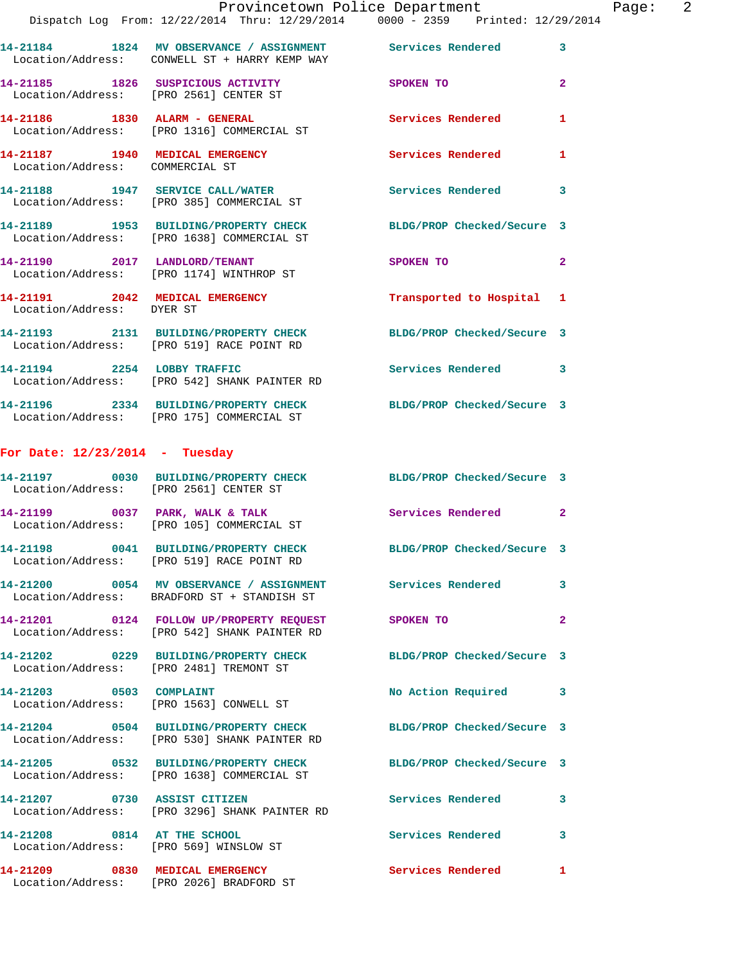|                                                                    | Provincetown Police Department                                                                                   |                            |                |
|--------------------------------------------------------------------|------------------------------------------------------------------------------------------------------------------|----------------------------|----------------|
|                                                                    | Dispatch Log From: 12/22/2014 Thru: 12/29/2014 0000 - 2359 Printed: 12/29/2014                                   |                            |                |
|                                                                    | 14-21184 1824 MV OBSERVANCE / ASSIGNMENT Services Rendered<br>Location/Address: CONWELL ST + HARRY KEMP WAY      |                            | 3              |
|                                                                    | 14-21185 1826 SUSPICIOUS ACTIVITY<br>Location/Address: [PRO 2561] CENTER ST                                      | SPOKEN TO                  | $\mathbf{2}$   |
|                                                                    | Location/Address: [PRO 1316] COMMERCIAL ST                                                                       | Services Rendered          | 1              |
| 14-21187 1940 MEDICAL EMERGENCY<br>Location/Address: COMMERCIAL ST |                                                                                                                  | Services Rendered          | 1              |
|                                                                    | 14-21188 1947 SERVICE CALL/WATER<br>Location/Address: [PRO 385] COMMERCIAL ST                                    | <b>Services Rendered</b>   | 3              |
|                                                                    | 14-21189 1953 BUILDING/PROPERTY CHECK BLDG/PROP Checked/Secure 3<br>Location/Address: [PRO 1638] COMMERCIAL ST   |                            |                |
|                                                                    | 14-21190 2017 LANDLORD/TENANT<br>Location/Address: [PRO 1174] WINTHROP ST                                        | <b>SPOKEN TO</b>           | $\overline{a}$ |
| Location/Address: DYER ST                                          | 14-21191 2042 MEDICAL EMERGENCY                                                                                  | Transported to Hospital    | 1              |
|                                                                    | 14-21193 2131 BUILDING/PROPERTY CHECK BLDG/PROP Checked/Secure 3<br>Location/Address: [PRO 519] RACE POINT RD    |                            |                |
|                                                                    | 14-21194 2254 LOBBY TRAFFIC<br>Location/Address: [PRO 542] SHANK PAINTER RD                                      | <b>Services Rendered</b>   | 3              |
|                                                                    | 14-21196 2334 BUILDING/PROPERTY CHECK BLDG/PROP Checked/Secure 3<br>Location/Address: [PRO 175] COMMERCIAL ST    |                            |                |
| For Date: $12/23/2014$ - Tuesday                                   |                                                                                                                  |                            |                |
| Location/Address: [PRO 2561] CENTER ST                             | 14-21197 0030 BUILDING/PROPERTY CHECK BLDG/PROP Checked/Secure 3                                                 |                            |                |
|                                                                    | 14-21199 0037 PARK, WALK & TALK<br>Location/Address: [PRO 105] COMMERCIAL ST                                     | Services Rendered          | $\mathbf{2}$   |
|                                                                    | 14-21198 0041 BUILDING/PROPERTY CHECK<br>Location/Address: [PRO 519] RACE POINT RD                               | BLDG/PROP Checked/Secure 3 |                |
|                                                                    | 14-21200 0054 MV OBSERVANCE / ASSIGNMENT Services Rendered<br>Location/Address: BRADFORD ST + STANDISH ST        |                            | 3              |
|                                                                    | 14-21201 0124 FOLLOW UP/PROPERTY REQUEST<br>Location/Address: [PRO 542] SHANK PAINTER RD                         | SPOKEN TO                  | $\overline{a}$ |
| Location/Address: [PRO 2481] TREMONT ST                            | 14-21202 0229 BUILDING/PROPERTY CHECK BLDG/PROP Checked/Secure 3                                                 |                            |                |
| 14-21203 0503 COMPLAINT                                            | Location/Address: [PRO 1563] CONWELL ST                                                                          | No Action Required         | 3              |
|                                                                    | 14-21204 0504 BUILDING/PROPERTY CHECK BLDG/PROP Checked/Secure 3<br>Location/Address: [PRO 530] SHANK PAINTER RD |                            |                |
|                                                                    | 14-21205 0532 BUILDING/PROPERTY CHECK BLDG/PROP Checked/Secure 3<br>Location/Address: [PRO 1638] COMMERCIAL ST   |                            |                |
| 14-21207 0730 ASSIST CITIZEN                                       | Location/Address: [PRO 3296] SHANK PAINTER RD                                                                    | Services Rendered          | 3              |
| 14-21208 0814 AT THE SCHOOL                                        | Location/Address: [PRO 569] WINSLOW ST                                                                           | <b>Services Rendered</b>   | 3              |
| 14-21209 0830 MEDICAL EMERGENCY                                    |                                                                                                                  | <b>Services Rendered</b>   | $\mathbf{1}$   |

Location/Address: [PRO 2026] BRADFORD ST

Page:  $2$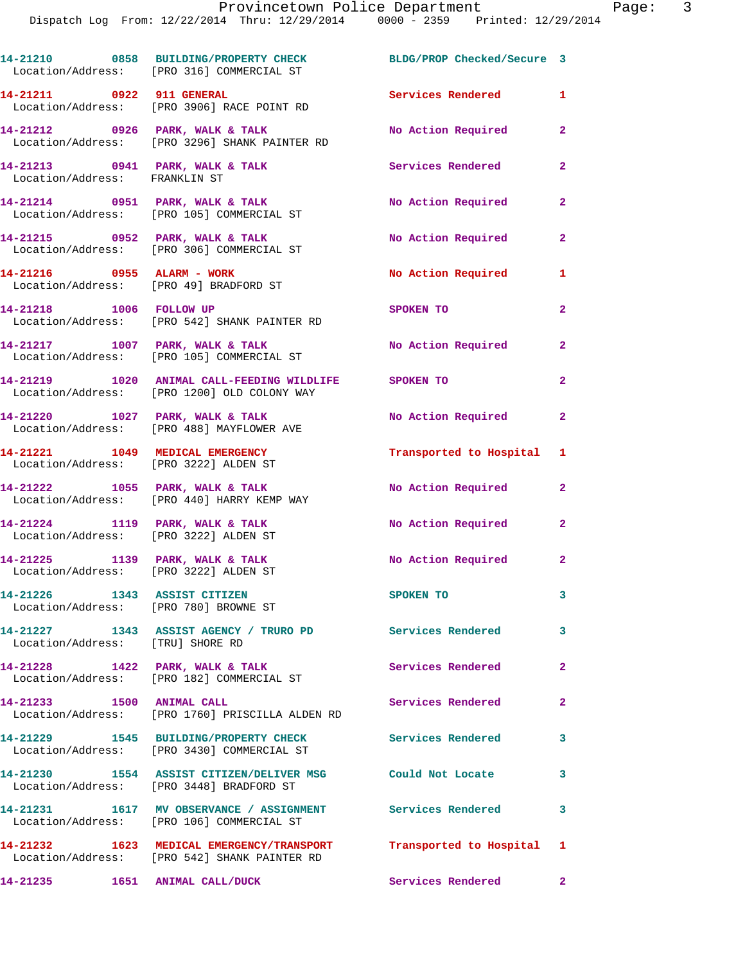|                                                                       | 14-21210 0858 BUILDING/PROPERTY CHECK<br>Location/Address: [PRO 316] COMMERCIAL ST                                  | BLDG/PROP Checked/Secure 3 |                |
|-----------------------------------------------------------------------|---------------------------------------------------------------------------------------------------------------------|----------------------------|----------------|
|                                                                       | 14-21211 0922 911 GENERAL<br>Location/Address: [PRO 3906] RACE POINT RD                                             | <b>Services Rendered</b>   | $\mathbf{1}$   |
|                                                                       | 14-21212 0926 PARK, WALK & TALK<br>Location/Address: [PRO 3296] SHANK PAINTER RD                                    | No Action Required         | $\mathbf{2}$   |
| Location/Address: FRANKLIN ST                                         | 14-21213 0941 PARK, WALK & TALK                                                                                     | Services Rendered          | $\mathbf{2}$   |
|                                                                       | 14-21214 0951 PARK, WALK & TALK<br>Location/Address: [PRO 105] COMMERCIAL ST                                        | No Action Required         | $\mathbf{2}$   |
|                                                                       | 14-21215 0952 PARK, WALK & TALK<br>Location/Address: [PRO 306] COMMERCIAL ST                                        | No Action Required         | $\mathbf{2}$   |
| 14-21216 0955 ALARM - WORK                                            | Location/Address: [PRO 49] BRADFORD ST                                                                              | No Action Required         | 1              |
| 14-21218 1006 FOLLOW UP                                               | Location/Address: [PRO 542] SHANK PAINTER RD                                                                        | <b>SPOKEN TO</b>           | $\overline{2}$ |
|                                                                       | 14-21217 1007 PARK, WALK & TALK<br>Location/Address: [PRO 105] COMMERCIAL ST                                        | No Action Required         | $\mathbf{2}$   |
|                                                                       | 14-21219 1020 ANIMAL CALL-FEEDING WILDLIFE SPOKEN TO<br>Location/Address: [PRO 1200] OLD COLONY WAY                 |                            | $\overline{2}$ |
|                                                                       | 14-21220 1027 PARK, WALK & TALK<br>Location/Address: [PRO 488] MAYFLOWER AVE                                        | No Action Required         | $\mathbf{2}$   |
| Location/Address: [PRO 3222] ALDEN ST                                 | 14-21221 1049 MEDICAL EMERGENCY                                                                                     | Transported to Hospital 1  |                |
|                                                                       | 14-21222 1055 PARK, WALK & TALK<br>Location/Address: [PRO 440] HARRY KEMP WAY                                       | No Action Required         | $\mathbf{2}$   |
| Location/Address: [PRO 3222] ALDEN ST                                 | 14-21224 1119 PARK, WALK & TALK                                                                                     | No Action Required         | $\overline{a}$ |
| Location/Address: [PRO 3222] ALDEN ST                                 | 14-21225 1139 PARK, WALK & TALK                                                                                     | No Action Required 2       |                |
| 14-21226 1343 ASSIST CITIZEN<br>Location/Address: [PRO 780] BROWNE ST |                                                                                                                     | SPOKEN TO                  | $\mathbf{3}$   |
| Location/Address: [TRU] SHORE RD                                      | 14-21227 1343 ASSIST AGENCY / TRURO PD Services Rendered 3                                                          |                            |                |
|                                                                       | 14-21228 1422 PARK, WALK & TALK<br>Location/Address: [PRO 182] COMMERCIAL ST                                        | <b>Services Rendered</b>   | $\overline{2}$ |
| 14-21233 1500 ANIMAL CALL                                             | Location/Address: [PRO 1760] PRISCILLA ALDEN RD                                                                     | Services Rendered          | $\mathbf{2}$   |
|                                                                       | 14-21229 1545 BUILDING/PROPERTY CHECK<br>Location/Address: [PRO 3430] COMMERCIAL ST                                 | <b>Services Rendered</b>   | 3              |
|                                                                       | 14-21230 1554 ASSIST CITIZEN/DELIVER MSG<br>Location/Address: [PRO 3448] BRADFORD ST                                | Could Not Locate           | 3              |
|                                                                       | 14-21231 1617 MV OBSERVANCE / ASSIGNMENT Services Rendered<br>Location/Address: [PRO 106] COMMERCIAL ST             |                            | $\mathbf{3}$   |
|                                                                       | 14-21232 1623 MEDICAL EMERGENCY/TRANSPORT Transported to Hospital 1<br>Location/Address: [PRO 542] SHANK PAINTER RD |                            |                |
|                                                                       |                                                                                                                     | Services Rendered 2        |                |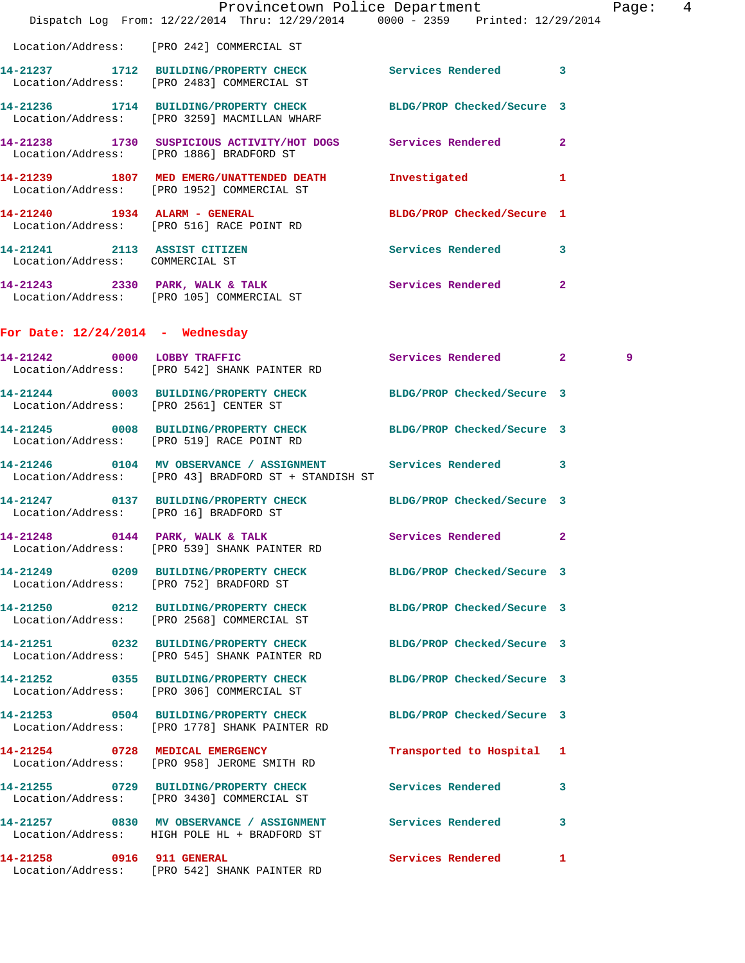|                                    | Dispatch Log From: 12/22/2014 Thru: 12/29/2014 0000 - 2359 Printed: 12/29/2014                                       | Provincetown Police Department Page: 4 |   |   |  |
|------------------------------------|----------------------------------------------------------------------------------------------------------------------|----------------------------------------|---|---|--|
|                                    | Location/Address: [PRO 242] COMMERCIAL ST                                                                            |                                        |   |   |  |
|                                    | 14-21237 1712 BUILDING/PROPERTY CHECK Services Rendered 3<br>Location/Address: [PRO 2483] COMMERCIAL ST              |                                        |   |   |  |
|                                    | 14-21236 1714 BUILDING/PROPERTY CHECK BLDG/PROP Checked/Secure 3<br>Location/Address: [PRO 3259] MACMILLAN WHARF     |                                        |   |   |  |
|                                    | 14-21238 1730 SUSPICIOUS ACTIVITY/HOT DOGS Services Rendered 2<br>Location/Address: [PRO 1886] BRADFORD ST           |                                        |   |   |  |
|                                    | 14-21239 1807 MED EMERG/UNATTENDED DEATH Investigated 1<br>Location/Address: [PRO 1952] COMMERCIAL ST                |                                        |   |   |  |
|                                    | 14-21240 1934 ALARM - GENERAL BLDG/PROP Checked/Secure 1<br>Location/Address: [PRO 516] RACE POINT RD                |                                        |   |   |  |
| Location/Address: COMMERCIAL ST    | 14-21241 2113 ASSIST CITIZEN Services Rendered 3                                                                     |                                        |   |   |  |
|                                    | 14-21243 2330 PARK, WALK & TALK Services Rendered 2<br>Location/Address: [PRO 105] COMMERCIAL ST                     |                                        |   |   |  |
| For Date: $12/24/2014$ - Wednesday |                                                                                                                      |                                        |   |   |  |
|                                    | 14-21242 0000 LOBBY TRAFFIC Services Rendered 2<br>Location/Address: [PRO 542] SHANK PAINTER RD                      |                                        |   | 9 |  |
|                                    | 14-21244 0003 BUILDING/PROPERTY CHECK BLDG/PROP Checked/Secure 3<br>Location/Address: [PRO 2561] CENTER ST           |                                        |   |   |  |
|                                    | 14-21245 0008 BUILDING/PROPERTY CHECK BLDG/PROP Checked/Secure 3<br>Location/Address: [PRO 519] RACE POINT RD        |                                        |   |   |  |
|                                    | 14-21246 0104 MV OBSERVANCE / ASSIGNMENT Services Rendered 3<br>Location/Address: [PRO 43] BRADFORD ST + STANDISH ST |                                        |   |   |  |
|                                    | 14-21247 0137 BUILDING/PROPERTY CHECK BLDG/PROP Checked/Secure 3<br>Location/Address: [PRO 16] BRADFORD ST           |                                        |   |   |  |
|                                    | 14-21248 0144 PARK, WALK & TALK Services Rendered 2<br>Location/Address: [PRO 539] SHANK PAINTER RD                  |                                        |   |   |  |
|                                    | 14-21249 0209 BUILDING/PROPERTY CHECK BLDG/PROP Checked/Secure 3<br>Location/Address: [PRO 752] BRADFORD ST          |                                        |   |   |  |
|                                    | 14-21250 0212 BUILDING/PROPERTY CHECK<br>Location/Address: [PRO 2568] COMMERCIAL ST                                  | BLDG/PROP Checked/Secure 3             |   |   |  |
|                                    | 14-21251 0232 BUILDING/PROPERTY CHECK BLDG/PROP Checked/Secure 3<br>Location/Address: [PRO 545] SHANK PAINTER RD     |                                        |   |   |  |
|                                    | 14-21252 0355 BUILDING/PROPERTY CHECK BLDG/PROP Checked/Secure 3<br>Location/Address: [PRO 306] COMMERCIAL ST        |                                        |   |   |  |
|                                    | 14-21253 0504 BUILDING/PROPERTY CHECK BLDG/PROP Checked/Secure 3<br>Location/Address: [PRO 1778] SHANK PAINTER RD    |                                        |   |   |  |
|                                    | 14-21254 0728 MEDICAL EMERGENCY<br>Location/Address: [PRO 958] JEROME SMITH RD                                       | Transported to Hospital 1              |   |   |  |
|                                    | 14-21255 0729 BUILDING/PROPERTY CHECK Services Rendered 3<br>Location/Address: [PRO 3430] COMMERCIAL ST              |                                        |   |   |  |
|                                    | 14-21257 0830 MV OBSERVANCE / ASSIGNMENT Services Rendered<br>Location/Address: HIGH POLE HL + BRADFORD ST           |                                        | 3 |   |  |
| 14-21258 0916 911 GENERAL          | Location/Address: [PRO 542] SHANK PAINTER RD                                                                         | Services Rendered 1                    |   |   |  |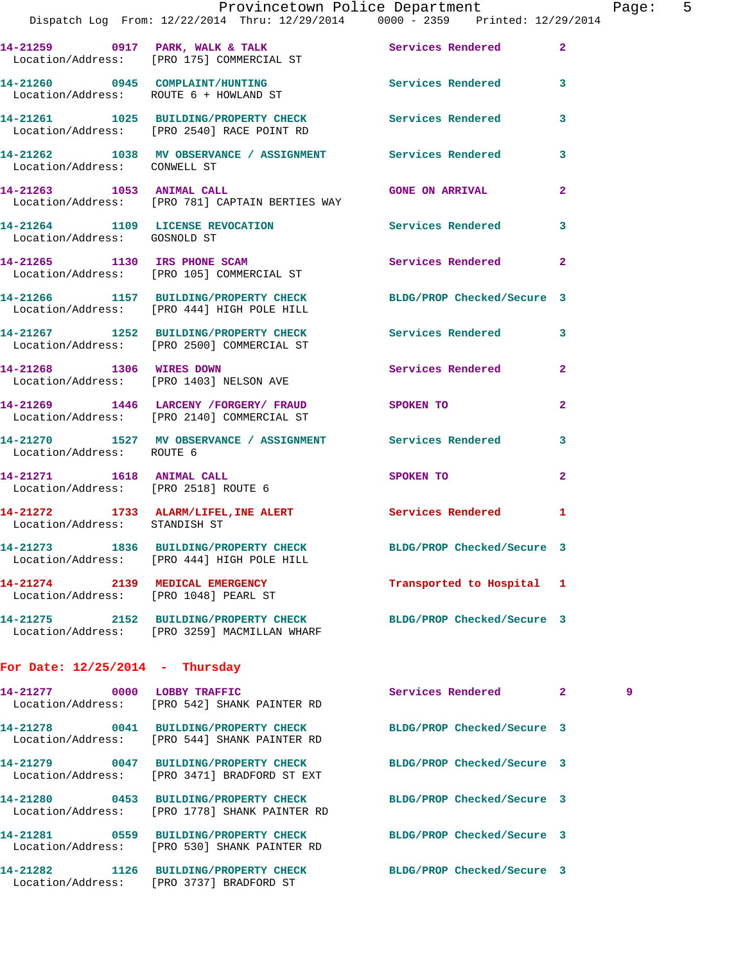|                                   | Dispatch Log From: 12/22/2014 Thru: 12/29/2014 0000 - 2359 Printed: 12/29/2014                                 | Provincetown Police Department The Page: 5 |                |
|-----------------------------------|----------------------------------------------------------------------------------------------------------------|--------------------------------------------|----------------|
|                                   | 14-21259 0917 PARK, WALK & TALK Services Rendered<br>Location/Address: [PRO 175] COMMERCIAL ST                 |                                            | $\mathbf{2}$   |
|                                   | 14-21260 0945 COMPLAINT/HUNTING Services Rendered 3<br>Location/Address: ROUTE 6 + HOWLAND ST                  |                                            |                |
|                                   | 14-21261 1025 BUILDING/PROPERTY CHECK Services Rendered<br>Location/Address: [PRO 2540] RACE POINT RD          |                                            | 3              |
| Location/Address: CONWELL ST      | 14-21262 1038 MV OBSERVANCE / ASSIGNMENT Services Rendered 3                                                   |                                            |                |
|                                   | 14-21263 1053 ANIMAL CALL GONE ON ARRIVAL<br>Location/Address: [PRO 781] CAPTAIN BERTIES WAY                   |                                            | $\overline{2}$ |
| Location/Address: GOSNOLD ST      | 14-21264 1109 LICENSE REVOCATION Services Rendered 3                                                           |                                            |                |
|                                   | 14-21265 1130 IRS PHONE SCAM Services Rendered 2<br>Location/Address: [PRO 105] COMMERCIAL ST                  |                                            |                |
|                                   | 14-21266 1157 BUILDING/PROPERTY CHECK BLDG/PROP Checked/Secure 3<br>Location/Address: [PRO 444] HIGH POLE HILL |                                            |                |
|                                   | 14-21267 1252 BUILDING/PROPERTY CHECK Services Rendered 3<br>Location/Address: [PRO 2500] COMMERCIAL ST        |                                            |                |
|                                   | 14-21268 1306 WIRES DOWN Services Rendered<br>Location/Address: [PRO 1403] NELSON AVE                          |                                            | $\overline{2}$ |
|                                   | 14-21269 1446 LARCENY /FORGERY / FRAUD SPOKEN TO<br>Location/Address: [PRO 2140] COMMERCIAL ST                 |                                            | $\mathbf{2}$   |
| Location/Address: ROUTE 6         | 14-21270 1527 MV OBSERVANCE / ASSIGNMENT Services Rendered                                                     |                                            | 3              |
|                                   | 14-21271 1618 ANIMAL CALL<br>Location/Address: [PRO 2518] ROUTE 6                                              | SPOKEN TO                                  | $\overline{2}$ |
| Location/Address: STANDISH ST     | 14-21272 1733 ALARM/LIFEL, INE ALERT Services Rendered 1                                                       |                                            |                |
|                                   | 14-21273 1836 BUILDING/PROPERTY CHECK<br>Location/Address: [PRO 444] HIGH POLE HILL                            | BLDG/PROP Checked/Secure 3                 |                |
|                                   | 14-21274 2139 MEDICAL EMERGENCY<br>Location/Address: [PRO 1048] PEARL ST                                       | Transported to Hospital 1                  |                |
|                                   | 14-21275 2152 BUILDING/PROPERTY CHECK<br>Location/Address: [PRO 3259] MACMILLAN WHARF                          | BLDG/PROP Checked/Secure 3                 |                |
| For Date: $12/25/2014$ - Thursday |                                                                                                                |                                            |                |
|                                   | 14-21277 0000 LOBBY TRAFFIC<br>Location/Address: [PRO 542] SHANK PAINTER RD                                    | Services Rendered 2                        | 9              |
|                                   | 14-21278 0041 BUILDING/PROPERTY CHECK<br>Location/Address: [PRO 544] SHANK PAINTER RD                          | BLDG/PROP Checked/Secure 3                 |                |
|                                   | 14-21279 0047 BUILDING/PROPERTY CHECK<br>Location/Address: [PRO 3471] BRADFORD ST EXT                          | BLDG/PROP Checked/Secure 3                 |                |
|                                   | 14-21280 0453 BUILDING/PROPERTY CHECK<br>Location/Address: [PRO 1778] SHANK PAINTER RD                         | BLDG/PROP Checked/Secure 3                 |                |
|                                   | 14-21281 0559 BUILDING/PROPERTY CHECK<br>Location/Address: [PRO 530] SHANK PAINTER RD                          | BLDG/PROP Checked/Secure 3                 |                |

**14-21282 1126 BUILDING/PROPERTY CHECK BLDG/PROP Checked/Secure 3** 

Location/Address: [PRO 3737] BRADFORD ST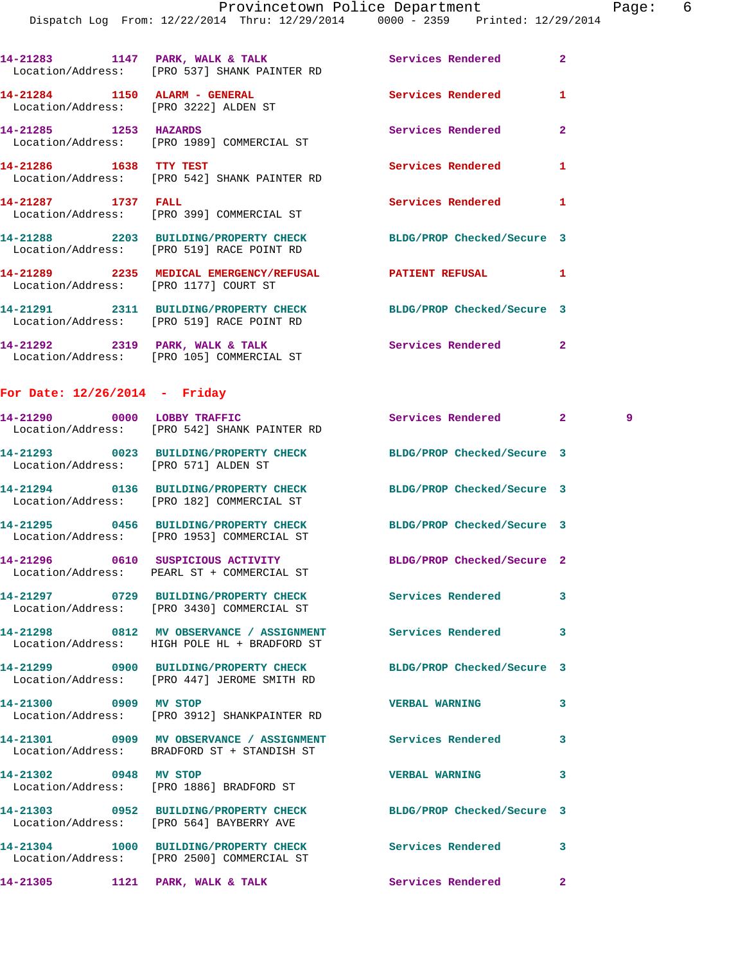|                                                                        | 14-21283 1147 PARK, WALK & TALK 1988 Services Rendered<br>Location/Address: [PRO 537] SHANK PAINTER RD         |                            | $\overline{a}$      |
|------------------------------------------------------------------------|----------------------------------------------------------------------------------------------------------------|----------------------------|---------------------|
| 14-21284 1150 ALARM - GENERAL<br>Location/Address: [PRO 3222] ALDEN ST |                                                                                                                | Services Rendered          | 1                   |
| 14-21285 1253 HAZARDS                                                  | Location/Address: [PRO 1989] COMMERCIAL ST                                                                     | Services Rendered          | $\mathbf{2}$        |
| 14-21286 1638 TTY TEST                                                 | Location/Address: [PRO 542] SHANK PAINTER RD                                                                   | Services Rendered          | 1                   |
| 14-21287 1737 FALL                                                     | Location/Address: [PRO 399] COMMERCIAL ST                                                                      | Services Rendered          | 1                   |
|                                                                        | 14-21288 2203 BUILDING/PROPERTY CHECK<br>Location/Address: [PRO 519] RACE POINT RD                             | BLDG/PROP Checked/Secure 3 |                     |
|                                                                        | 14-21289 2235 MEDICAL EMERGENCY/REFUSAL PATIENT REFUSAL<br>Location/Address: [PRO 1177] COURT ST               |                            | 1                   |
|                                                                        | 14-21291 2311 BUILDING/PROPERTY CHECK BLDG/PROP Checked/Secure 3<br>Location/Address: [PRO 519] RACE POINT RD  |                            |                     |
|                                                                        | 14-21292 2319 PARK, WALK & TALK<br>Location/Address: [PRO 105] COMMERCIAL ST                                   | <b>Services Rendered</b>   | $\mathbf{2}$        |
| For Date: $12/26/2014$ - Friday                                        |                                                                                                                |                            |                     |
|                                                                        | 14-21290 0000 LOBBY TRAFFIC<br>Location/Address: [PRO 542] SHANK PAINTER RD                                    | <b>Services Rendered</b>   | $\mathbf{2}$<br>- 9 |
| Location/Address: [PRO 571] ALDEN ST                                   | 14-21293 0023 BUILDING/PROPERTY CHECK BLDG/PROP Checked/Secure 3                                               |                            |                     |
|                                                                        | 14-21294 0136 BUILDING/PROPERTY CHECK BLDG/PROP Checked/Secure 3<br>Location/Address: [PRO 182] COMMERCIAL ST  |                            |                     |
|                                                                        | 14-21295 0456 BUILDING/PROPERTY CHECK BLDG/PROP Checked/Secure 3<br>Location/Address: [PRO 1953] COMMERCIAL ST |                            |                     |
|                                                                        | 14-21296 0610 SUSPICIOUS ACTIVITY<br>Location/Address: PEARL ST + COMMERCIAL ST                                | BLDG/PROP Checked/Secure 2 |                     |
|                                                                        | 14-21297 0729 BUILDING/PROPERTY CHECK Services Rendered<br>Location/Address: [PRO 3430] COMMERCIAL ST          |                            | 3                   |
|                                                                        | 14-21298 0812 MV OBSERVANCE / ASSIGNMENT<br>Location/Address: HIGH POLE HL + BRADFORD ST                       | Services Rendered          | 3                   |
|                                                                        | 14-21299 0900 BUILDING/PROPERTY CHECK<br>Location/Address: [PRO 447] JEROME SMITH RD                           | BLDG/PROP Checked/Secure 3 |                     |
| 14-21300 0909 MV STOP                                                  | Location/Address: [PRO 3912] SHANKPAINTER RD                                                                   | <b>VERBAL WARNING</b>      | 3                   |
|                                                                        | 14-21301 0909 MV OBSERVANCE / ASSIGNMENT Services Rendered<br>Location/Address: BRADFORD ST + STANDISH ST      |                            | 3                   |
| 14-21302 0948 MV STOP                                                  | Location/Address: [PRO 1886] BRADFORD ST                                                                       | <b>VERBAL WARNING</b>      | 3                   |
|                                                                        | 14-21303 0952 BUILDING/PROPERTY CHECK BLDG/PROP Checked/Secure 3<br>Location/Address: [PRO 564] BAYBERRY AVE   |                            |                     |
|                                                                        | 14-21304 1000 BUILDING/PROPERTY CHECK Services Rendered<br>Location/Address: [PRO 2500] COMMERCIAL ST          |                            | 3                   |

**14-21305 1121 PARK, WALK & TALK Services Rendered 2**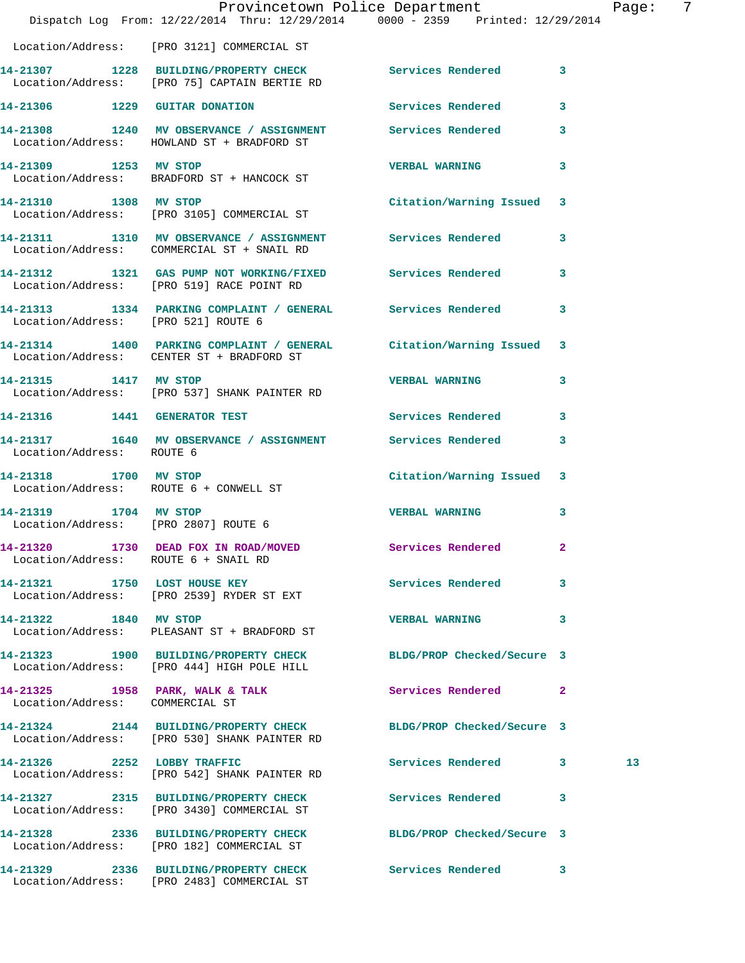|                                        | Provincetown Police Department<br>Dispatch Log From: 12/22/2014 Thru: 12/29/2014 0000 - 2359 Printed: 12/29/2014 |                            |              | Page: 7 |  |
|----------------------------------------|------------------------------------------------------------------------------------------------------------------|----------------------------|--------------|---------|--|
|                                        | Location/Address: [PRO 3121] COMMERCIAL ST                                                                       |                            |              |         |  |
|                                        | 14-21307 1228 BUILDING/PROPERTY CHECK Services Rendered 3<br>Location/Address: [PRO 75] CAPTAIN BERTIE RD        |                            |              |         |  |
|                                        | 14-21306 1229 GUITAR DONATION Services Rendered 3                                                                |                            |              |         |  |
|                                        | 14-21308 1240 MV OBSERVANCE / ASSIGNMENT Services Rendered 3<br>Location/Address: HOWLAND ST + BRADFORD ST       |                            |              |         |  |
| 14-21309 1253 MV STOP                  | Location/Address: BRADFORD ST + HANCOCK ST                                                                       | <b>VERBAL WARNING 3</b>    |              |         |  |
|                                        | 14-21310 1308 MV STOP<br>Location/Address: [PRO 3105] COMMERCIAL ST                                              | Citation/Warning Issued 3  |              |         |  |
|                                        | 14-21311 1310 MV OBSERVANCE / ASSIGNMENT Services Rendered 3<br>Location/Address: COMMERCIAL ST + SNAIL RD       |                            |              |         |  |
|                                        | 14-21312 1321 GAS PUMP NOT WORKING/FIXED Services Rendered 3<br>Location/Address: [PRO 519] RACE POINT RD        |                            |              |         |  |
| Location/Address: [PRO 521] ROUTE 6    | 14-21313 1334 PARKING COMPLAINT / GENERAL Services Rendered 3                                                    |                            |              |         |  |
|                                        | 14-21314 1400 PARKING COMPLAINT / GENERAL Citation/Warning Issued 3<br>Location/Address: CENTER ST + BRADFORD ST |                            |              |         |  |
|                                        | 14-21315 1417 MV STOP<br>Location/Address: [PRO 537] SHANK PAINTER RD                                            | <b>VERBAL WARNING</b>      | 3            |         |  |
| 14-21316   1441   GENERATOR TEST       |                                                                                                                  | Services Rendered 3        |              |         |  |
| Location/Address: ROUTE 6              | 14-21317 1640 MV OBSERVANCE / ASSIGNMENT Services Rendered                                                       |                            | 3            |         |  |
| Location/Address: ROUTE 6 + CONWELL ST | 14-21318 1700 MV STOP                                                                                            | Citation/Warning Issued 3  |              |         |  |
| 14-21319 1704 MV STOP                  | Location/Address: [PRO 2807] ROUTE 6                                                                             | <b>VERBAL WARNING</b>      | 3            |         |  |
| Location/Address: ROUTE 6 + SNAIL RD   | 14-21320 1730 DEAD FOX IN ROAD/MOVED                                                                             | <b>Services Rendered</b>   | $\mathbf{2}$ |         |  |
|                                        | 14-21321 1750 LOST HOUSE KEY<br>Location/Address: [PRO 2539] RYDER ST EXT                                        | Services Rendered 3        |              |         |  |
| 14-21322 1840 MV STOP                  | Location/Address: PLEASANT ST + BRADFORD ST                                                                      | <b>VERBAL WARNING</b>      | 3            |         |  |
|                                        | 14-21323 1900 BUILDING/PROPERTY CHECK BLDG/PROP Checked/Secure 3<br>Location/Address: [PRO 444] HIGH POLE HILL   |                            |              |         |  |
| Location/Address: COMMERCIAL ST        | 14-21325 1958 PARK, WALK & TALK 1999 Services Rendered 2                                                         |                            |              |         |  |
|                                        | 14-21324 2144 BUILDING/PROPERTY CHECK BLDG/PROP Checked/Secure 3<br>Location/Address: [PRO 530] SHANK PAINTER RD |                            |              |         |  |
|                                        | 14-21326 2252 LOBBY TRAFFIC<br>Location/Address: [PRO 542] SHANK PAINTER RD                                      | Services Rendered 3        |              | 13      |  |
|                                        | 14-21327 2315 BUILDING/PROPERTY CHECK<br>Location/Address: [PRO 3430] COMMERCIAL ST                              | Services Rendered          | 3            |         |  |
|                                        | 14-21328 2336 BUILDING/PROPERTY CHECK BLDG/PROP Checked/Secure 3<br>Location/Address: [PRO 182] COMMERCIAL ST    |                            |              |         |  |
|                                        | 14-21329 2336 BUILDING/PROPERTY CHECK<br>Location/Address: [PRO 2483] COMMERCIAL ST                              | <b>Services Rendered</b> 3 |              |         |  |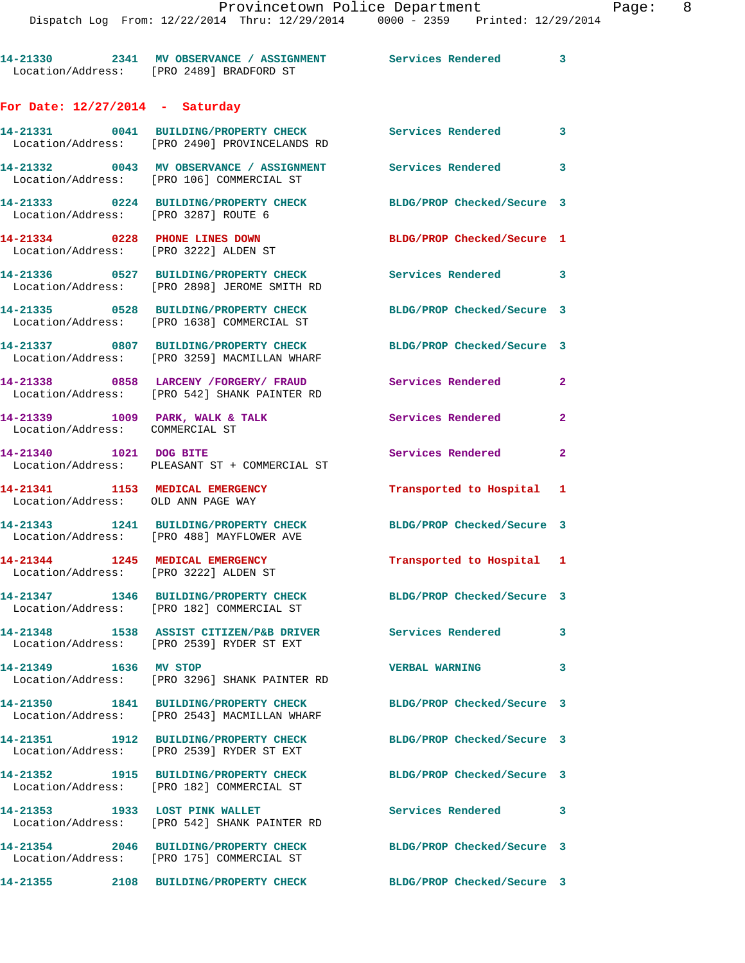Provincetown Police Department Page: 8 Dispatch Log From: 12/22/2014 Thru: 12/29/2014 0000 - 2359 Printed: 12/29/2014 **14-21330 2341 MV OBSERVANCE / ASSIGNMENT Services Rendered 3**  Location/Address: [PRO 2489] BRADFORD ST **For Date: 12/27/2014 - Saturday 14-21331 0041 BUILDING/PROPERTY CHECK Services Rendered 3**  Location/Address: [PRO 2490] PROVINCELANDS RD **14-21332 0043 MV OBSERVANCE / ASSIGNMENT Services Rendered 3**  Location/Address: [PRO 106] COMMERCIAL ST **14-21333 0224 BUILDING/PROPERTY CHECK BLDG/PROP Checked/Secure 3**  Location/Address: [PRO 3287] ROUTE 6 **14-21334 0228 PHONE LINES DOWN BLDG/PROP Checked/Secure 1**  Location/Address: [PRO 3222] ALDEN ST **14-21336 0527 BUILDING/PROPERTY CHECK Services Rendered 3**  Location/Address: [PRO 2898] JEROME SMITH RD **14-21335 0528 BUILDING/PROPERTY CHECK BLDG/PROP Checked/Secure 3**  Location/Address: [PRO 1638] COMMERCIAL ST **14-21337 0807 BUILDING/PROPERTY CHECK BLDG/PROP Checked/Secure 3**  Location/Address: [PRO 3259] MACMILLAN WHARF **14-21338 0858 LARCENY /FORGERY/ FRAUD Services Rendered 2**  Location/Address: [PRO 542] SHANK PAINTER RD 14-21339 1009 PARK, WALK & TALK Services Rendered 2 Location/Address: COMMERCIAL ST **14-21340 1021 DOG BITE Services Rendered 2**  Location/Address: PLEASANT ST + COMMERCIAL ST **14-21341 1153 MEDICAL EMERGENCY Transported to Hospital 1**  Location/Address: OLD ANN PAGE WAY **14-21343 1241 BUILDING/PROPERTY CHECK BLDG/PROP Checked/Secure 3**  Location/Address: [PRO 488] MAYFLOWER AVE **14-21344 1245 MEDICAL EMERGENCY Transported to Hospital 1**  Location/Address: [PRO 3222] ALDEN ST **14-21347 1346 BUILDING/PROPERTY CHECK BLDG/PROP Checked/Secure 3**  Location/Address: [PRO 182] COMMERCIAL ST **14-21348 1538 ASSIST CITIZEN/P&B DRIVER Services Rendered 3**  Location/Address: [PRO 2539] RYDER ST EXT **14-21349 1636 MV STOP VERBAL WARNING 3**  [PRO 3296] SHANK PAINTER RD **14-21350 1841 BUILDING/PROPERTY CHECK BLDG/PROP Checked/Secure 3**  Location/Address: [PRO 2543] MACMILLAN WHARF **14-21351 1912 BUILDING/PROPERTY CHECK BLDG/PROP Checked/Secure 3**  Location/Address: [PRO 2539] RYDER ST EXT **14-21352 1915 BUILDING/PROPERTY CHECK BLDG/PROP Checked/Secure 3**  Location/Address: [PRO 182] COMMERCIAL ST **14-21353 1933 LOST PINK WALLET Services Rendered 3**  Location/Address: [PRO 542] SHANK PAINTER RD **14-21354 2046 BUILDING/PROPERTY CHECK BLDG/PROP Checked/Secure 3**  Location/Address: [PRO 175] COMMERCIAL ST

**14-21355 2108 BUILDING/PROPERTY CHECK BLDG/PROP Checked/Secure 3**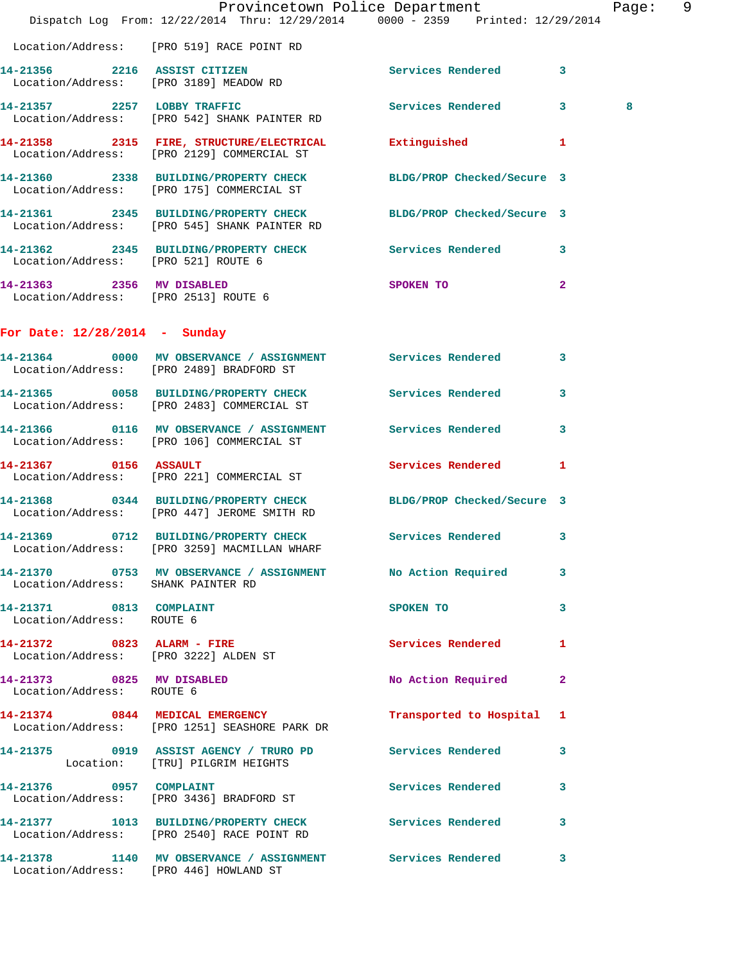|                                                        | Dispatch Log From: 12/22/2014 Thru: 12/29/2014 0000 - 2359 Printed: 12/29/2014                                   | Provincetown Police Department        |                | Page: 9 |  |
|--------------------------------------------------------|------------------------------------------------------------------------------------------------------------------|---------------------------------------|----------------|---------|--|
|                                                        | Location/Address: [PRO 519] RACE POINT RD                                                                        |                                       |                |         |  |
|                                                        | 14-21356 2216 ASSIST CITIZEN<br>Location/Address: [PRO 3189] MEADOW RD                                           | Services Rendered 3                   |                |         |  |
|                                                        | 14-21357 2257 LOBBY TRAFFIC<br>Location/Address: [PRO 542] SHANK PAINTER RD                                      | Services Rendered 3                   |                | 8       |  |
|                                                        | 14-21358 2315 FIRE, STRUCTURE/ELECTRICAL Extinguished 1<br>Location/Address: [PRO 2129] COMMERCIAL ST            |                                       |                |         |  |
|                                                        | 14-21360 2338 BUILDING/PROPERTY CHECK BLDG/PROP Checked/Secure 3<br>Location/Address: [PRO 175] COMMERCIAL ST    |                                       |                |         |  |
|                                                        | 14-21361 2345 BUILDING/PROPERTY CHECK BLDG/PROP Checked/Secure 3<br>Location/Address: [PRO 545] SHANK PAINTER RD |                                       |                |         |  |
| Location/Address: [PRO 521] ROUTE 6                    | 14-21362 2345 BUILDING/PROPERTY CHECK Services Rendered 3                                                        |                                       |                |         |  |
| Location/Address: [PRO 2513] ROUTE 6                   | 14-21363 2356 MV DISABLED                                                                                        | SPOKEN TO                             | $\overline{a}$ |         |  |
| For Date: $12/28/2014$ - Sunday                        |                                                                                                                  |                                       |                |         |  |
|                                                        | 14-21364 0000 MV OBSERVANCE / ASSIGNMENT Services Rendered 3<br>Location/Address: [PRO 2489] BRADFORD ST         |                                       |                |         |  |
|                                                        | 14-21365 0058 BUILDING/PROPERTY CHECK Services Rendered 3<br>Location/Address: [PRO 2483] COMMERCIAL ST          |                                       |                |         |  |
|                                                        | 14-21366 0116 MV OBSERVANCE / ASSIGNMENT Services Rendered<br>Location/Address: [PRO 106] COMMERCIAL ST          |                                       | 3              |         |  |
| 14-21367 0156 ASSAULT                                  | Location/Address: [PRO 221] COMMERCIAL ST                                                                        | Services Rendered 1                   |                |         |  |
|                                                        | 14-21368 0344 BUILDING/PROPERTY CHECK BLDG/PROP Checked/Secure 3<br>Location/Address: [PRO 447] JEROME SMITH RD  |                                       |                |         |  |
|                                                        | 14-21369 0712 BUILDING/PROPERTY CHECK Services Rendered 3<br>Location/Address: [PRO 3259] MACMILLAN WHARF        |                                       |                |         |  |
| Location/Address: SHANK PAINTER RD                     | 14-21370 0753 MV OBSERVANCE / ASSIGNMENT No Action Required 3                                                    |                                       |                |         |  |
| 14-21371 0813 COMPLAINT<br>Location/Address: ROUTE 6   |                                                                                                                  | SPOKEN TO THE SPOKEN OF THE SPOKEN TO | $\mathbf{3}$   |         |  |
| Location/Address: [PRO 3222] ALDEN ST                  | 14-21372 0823 ALARM - FIRE                                                                                       | Services Rendered 1                   |                |         |  |
| 14-21373 0825 MV DISABLED<br>Location/Address: ROUTE 6 |                                                                                                                  | No Action Required                    | $\mathbf{2}$   |         |  |
|                                                        | 14-21374 0844 MEDICAL EMERGENCY<br>Location/Address: [PRO 1251] SEASHORE PARK DR                                 | Transported to Hospital 1             |                |         |  |
|                                                        | 14-21375 0919 ASSIST AGENCY / TRURO PD Services Rendered 3<br>Location: [TRU] PILGRIM HEIGHTS                    |                                       |                |         |  |
|                                                        | 14-21376 0957 COMPLAINT<br>Location/Address: [PRO 3436] BRADFORD ST                                              | Services Rendered 3                   |                |         |  |
|                                                        | 14-21377 1013 BUILDING/PROPERTY CHECK Services Rendered 3<br>Location/Address: [PRO 2540] RACE POINT RD          |                                       |                |         |  |
| Location/Address: [PRO 446] HOWLAND ST                 | 14-21378 1140 MV OBSERVANCE / ASSIGNMENT Services Rendered 3                                                     |                                       |                |         |  |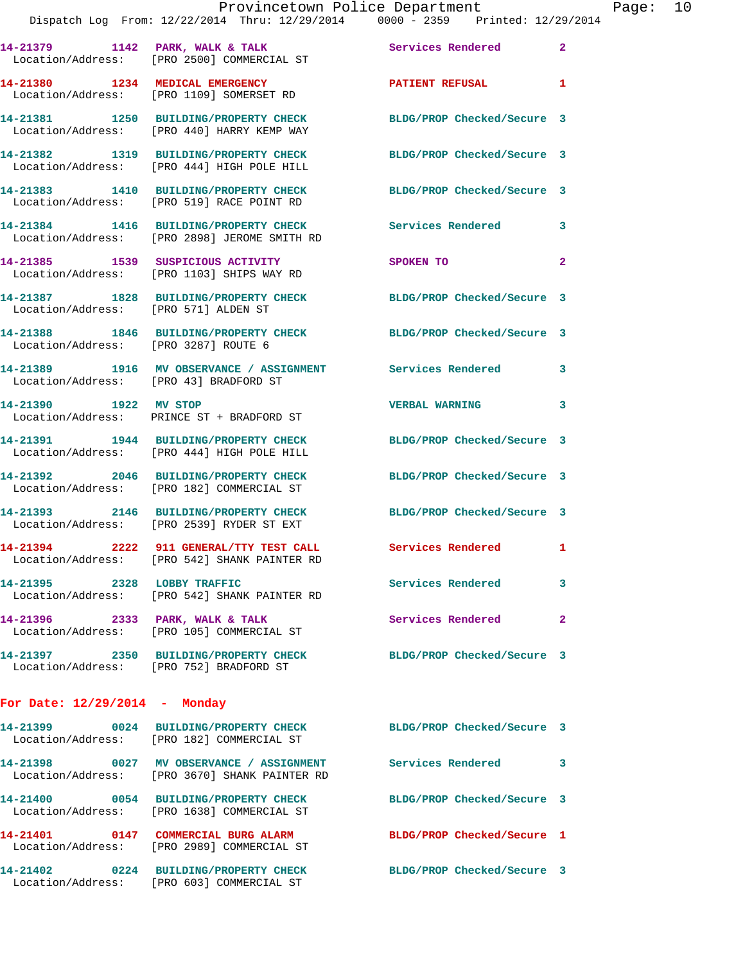|                                      | Provincetown Police Department<br>Dispatch Log From: 12/22/2014 Thru: 12/29/2014 0000 - 2359 Printed: 12/29/2014 |                            |                |
|--------------------------------------|------------------------------------------------------------------------------------------------------------------|----------------------------|----------------|
|                                      | 14-21379 1142 PARK, WALK & TALK<br>Location/Address: [PRO 2500] COMMERCIAL ST                                    | <b>Services Rendered</b>   | $\mathbf{2}$   |
|                                      | 14-21380 1234 MEDICAL EMERGENCY <b>NETAL PATIENT REFUSAL</b><br>Location/Address: [PRO 1109] SOMERSET RD         |                            | 1              |
|                                      | 14-21381 1250 BUILDING/PROPERTY CHECK<br>Location/Address: [PRO 440] HARRY KEMP WAY                              | BLDG/PROP Checked/Secure 3 |                |
|                                      | 14-21382 1319 BUILDING/PROPERTY CHECK BLDG/PROP Checked/Secure 3<br>Location/Address: [PRO 444] HIGH POLE HILL   |                            |                |
|                                      | 14-21383 1410 BUILDING/PROPERTY CHECK<br>Location/Address: [PRO 519] RACE POINT RD                               | BLDG/PROP Checked/Secure 3 |                |
|                                      | 14-21384 1416 BUILDING/PROPERTY CHECK Services Rendered<br>Location/Address: [PRO 2898] JEROME SMITH RD          |                            | 3              |
|                                      | 14-21385 1539 SUSPICIOUS ACTIVITY<br>Location/Address: [PRO 1103] SHIPS WAY RD                                   | SPOKEN TO                  | $\overline{a}$ |
| Location/Address: [PRO 571] ALDEN ST | 14-21387 1828 BUILDING/PROPERTY CHECK BLDG/PROP Checked/Secure 3                                                 |                            |                |
| Location/Address: [PRO 3287] ROUTE 6 | 14-21388 1846 BUILDING/PROPERTY CHECK BLDG/PROP Checked/Secure 3                                                 |                            |                |
|                                      | 14-21389 1916 MV OBSERVANCE / ASSIGNMENT Services Rendered<br>Location/Address: [PRO 43] BRADFORD ST             |                            | 3              |
| 14-21390 1922 MV STOP                | Location/Address: PRINCE ST + BRADFORD ST                                                                        | <b>VERBAL WARNING</b>      | 3              |
|                                      | 14-21391 1944 BUILDING/PROPERTY CHECK<br>Location/Address: [PRO 444] HIGH POLE HILL                              | BLDG/PROP Checked/Secure 3 |                |
|                                      | 14-21392 2046 BUILDING/PROPERTY CHECK BLDG/PROP Checked/Secure 3<br>Location/Address: [PRO 182] COMMERCIAL ST    |                            |                |
|                                      | 14-21393 2146 BUILDING/PROPERTY CHECK<br>Location/Address: [PRO 2539] RYDER ST EXT                               | BLDG/PROP Checked/Secure 3 |                |
|                                      | 14-21394 2222 911 GENERAL/TTY TEST CALL Services Rendered<br>Location/Address: [PRO 542] SHANK PAINTER RD        |                            | 1              |
|                                      | 14-21395 2328 LOBBY TRAFFIC<br>Location/Address: [PRO 542] SHANK PAINTER RD                                      | Services Rendered          | 3              |
| 14-21396 2333 PARK, WALK & TALK      | Location/Address: [PRO 105] COMMERCIAL ST                                                                        | Services Rendered          | 2              |
|                                      | 14-21397 2350 BUILDING/PROPERTY CHECK<br>Location/Address: [PRO 752] BRADFORD ST                                 | BLDG/PROP Checked/Secure 3 |                |
| For Date: $12/29/2014$ - Monday      |                                                                                                                  |                            |                |
|                                      | 14-21399 0024 BUILDING/PROPERTY CHECK<br>Location/Address: [PRO 182] COMMERCIAL ST                               | BLDG/PROP Checked/Secure 3 |                |
| 14-21398                             | 0027 MV OBSERVANCE / ASSIGNMENT Services Rendered<br>Location/Address: [PRO 3670] SHANK PAINTER RD               |                            | 3              |

Location/Address: [PRO 1638] COMMERCIAL ST

Location/Address: [PRO 2989] COMMERCIAL ST

Location/Address: [PRO 603] COMMERCIAL ST

**14-21400 0054 BUILDING/PROPERTY CHECK BLDG/PROP Checked/Secure 3 14-21401 0147 COMMERCIAL BURG ALARM BLDG/PROP Checked/Secure 1 14-21402 0224 BUILDING/PROPERTY CHECK BLDG/PROP Checked/Secure 3** 

Page: 10